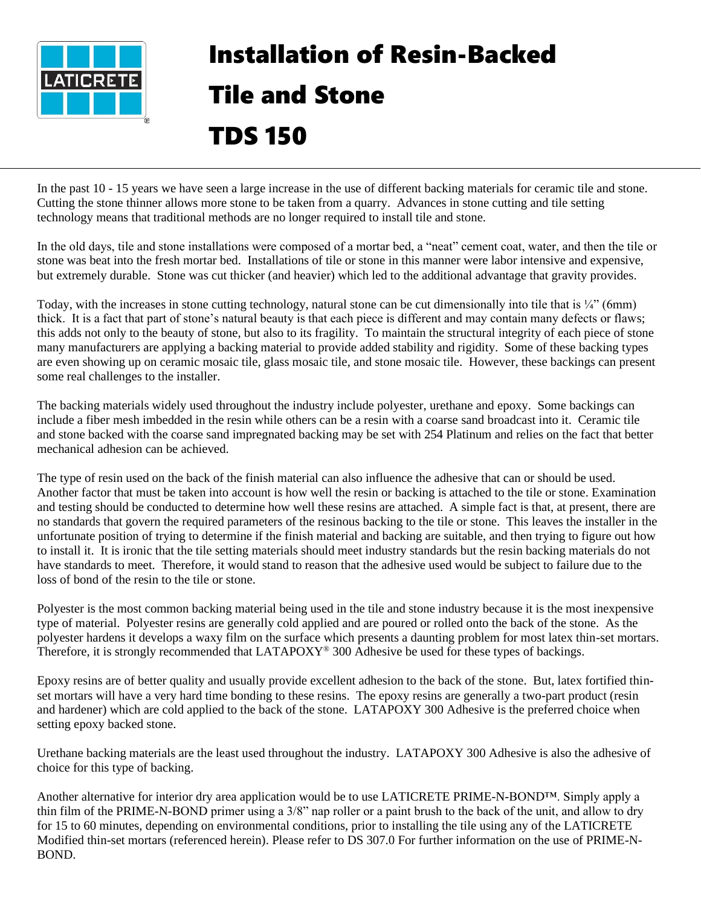

## Installation of Resin-Backed Tile and Stone TDS 150

In the past 10 - 15 years we have seen a large increase in the use of different backing materials for ceramic tile and stone. Cutting the stone thinner allows more stone to be taken from a quarry. Advances in stone cutting and tile setting technology means that traditional methods are no longer required to install tile and stone.

In the old days, tile and stone installations were composed of a mortar bed, a "neat" cement coat, water, and then the tile or stone was beat into the fresh mortar bed. Installations of tile or stone in this manner were labor intensive and expensive, but extremely durable. Stone was cut thicker (and heavier) which led to the additional advantage that gravity provides.

Today, with the increases in stone cutting technology, natural stone can be cut dimensionally into tile that is  $\frac{1}{4}$  (6mm) thick. It is a fact that part of stone's natural beauty is that each piece is different and may contain many defects or flaws; this adds not only to the beauty of stone, but also to its fragility. To maintain the structural integrity of each piece of stone many manufacturers are applying a backing material to provide added stability and rigidity. Some of these backing types are even showing up on ceramic mosaic tile, glass mosaic tile, and stone mosaic tile. However, these backings can present some real challenges to the installer.

The backing materials widely used throughout the industry include polyester, urethane and epoxy. Some backings can include a fiber mesh imbedded in the resin while others can be a resin with a coarse sand broadcast into it. Ceramic tile and stone backed with the coarse sand impregnated backing may be set with 254 Platinum and relies on the fact that better mechanical adhesion can be achieved.

The type of resin used on the back of the finish material can also influence the adhesive that can or should be used. Another factor that must be taken into account is how well the resin or backing is attached to the tile or stone. Examination and testing should be conducted to determine how well these resins are attached. A simple fact is that, at present, there are no standards that govern the required parameters of the resinous backing to the tile or stone. This leaves the installer in the unfortunate position of trying to determine if the finish material and backing are suitable, and then trying to figure out how to install it. It is ironic that the tile setting materials should meet industry standards but the resin backing materials do not have standards to meet. Therefore, it would stand to reason that the adhesive used would be subject to failure due to the loss of bond of the resin to the tile or stone.

Polyester is the most common backing material being used in the tile and stone industry because it is the most inexpensive type of material. Polyester resins are generally cold applied and are poured or rolled onto the back of the stone. As the polyester hardens it develops a waxy film on the surface which presents a daunting problem for most latex thin-set mortars. Therefore, it is strongly recommended that LATAPOXY<sup>®</sup> 300 Adhesive be used for these types of backings.

Epoxy resins are of better quality and usually provide excellent adhesion to the back of the stone. But, latex fortified thinset mortars will have a very hard time bonding to these resins. The epoxy resins are generally a two-part product (resin and hardener) which are cold applied to the back of the stone. LATAPOXY 300 Adhesive is the preferred choice when setting epoxy backed stone.

Urethane backing materials are the least used throughout the industry. LATAPOXY 300 Adhesive is also the adhesive of choice for this type of backing.

Another alternative for interior dry area application would be to use LATICRETE PRIME-N-BOND™. Simply apply a thin film of the PRIME-N-BOND primer using a 3/8" nap roller or a paint brush to the back of the unit, and allow to dry for 15 to 60 minutes, depending on environmental conditions, prior to installing the tile using any of the LATICRETE Modified thin-set mortars (referenced herein). Please refer to DS 307.0 For further information on the use of PRIME-N-BOND.